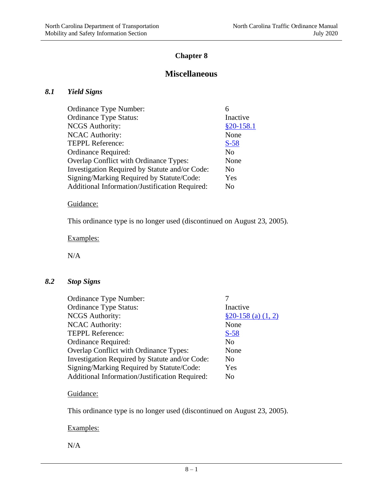# **Chapter 8**

# **Miscellaneous**

### *8.1 Yield Signs*

| <b>Ordinance Type Number:</b>                  |                |
|------------------------------------------------|----------------|
| <b>Ordinance Type Status:</b>                  | Inactive       |
| <b>NCGS</b> Authority:                         | $$20-158.1$    |
| <b>NCAC Authority:</b>                         | None           |
| <b>TEPPL Reference:</b>                        | $S-58$         |
| Ordinance Required:                            | N <sub>0</sub> |
| Overlap Conflict with Ordinance Types:         | None           |
| Investigation Required by Statute and/or Code: | No             |
| Signing/Marking Required by Statute/Code:      | Yes            |
| Additional Information/Justification Required: | No             |

# Guidance:

This ordinance type is no longer used (discontinued on August 23, 2005).

Examples:

N/A

### *8.2 Stop Signs*

| Ordinance Type Number:                         |                      |
|------------------------------------------------|----------------------|
| <b>Ordinance Type Status:</b>                  | Inactive             |
| <b>NCGS</b> Authority:                         | $$20-158$ (a) (1, 2) |
| <b>NCAC Authority:</b>                         | None                 |
| TEPPL Reference:                               | $S-58$               |
| Ordinance Required:                            | N <sub>0</sub>       |
| Overlap Conflict with Ordinance Types:         | None                 |
| Investigation Required by Statute and/or Code: | N <sub>0</sub>       |
| Signing/Marking Required by Statute/Code:      | Yes                  |
| Additional Information/Justification Required: | No                   |

### Guidance:

This ordinance type is no longer used (discontinued on August 23, 2005).

### Examples:

N/A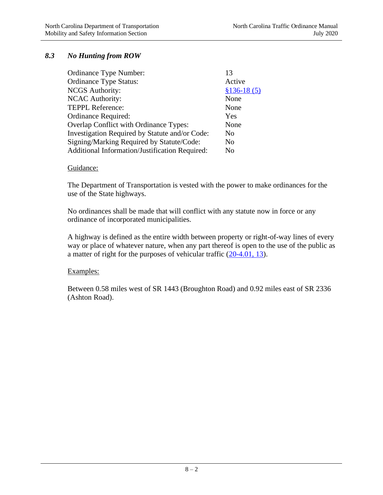### *8.3 No Hunting from ROW*

| Ordinance Type Number:                         | 13             |
|------------------------------------------------|----------------|
| <b>Ordinance Type Status:</b>                  | Active         |
| <b>NCGS</b> Authority:                         | $$136-18(5)$   |
| <b>NCAC Authority:</b>                         | None           |
| <b>TEPPL Reference:</b>                        | None           |
| Ordinance Required:                            | Yes            |
| Overlap Conflict with Ordinance Types:         | None           |
| Investigation Required by Statute and/or Code: | No             |
| Signing/Marking Required by Statute/Code:      | N <sub>0</sub> |
| Additional Information/Justification Required: | No             |

#### Guidance:

The Department of Transportation is vested with the power to make ordinances for the use of the State highways.

No ordinances shall be made that will conflict with any statute now in force or any ordinance of incorporated municipalities.

A highway is defined as the entire width between property or right-of-way lines of every way or place of whatever nature, when any part thereof is open to the use of the public as a matter of right for the purposes of vehicular traffic  $(20-4.01, 13)$ .

#### Examples:

Between 0.58 miles west of SR 1443 (Broughton Road) and 0.92 miles east of SR 2336 (Ashton Road).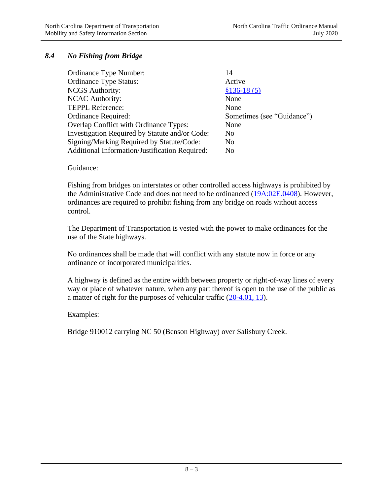### *8.4 No Fishing from Bridge*

| Ordinance Type Number:                                | 14                         |
|-------------------------------------------------------|----------------------------|
| <b>Ordinance Type Status:</b>                         | Active                     |
| <b>NCGS</b> Authority:                                | $$136-18(5)$               |
| <b>NCAC Authority:</b>                                | None                       |
| <b>TEPPL Reference:</b>                               | None                       |
| Ordinance Required:                                   | Sometimes (see "Guidance") |
| Overlap Conflict with Ordinance Types:                | None                       |
| Investigation Required by Statute and/or Code:        | N <sub>0</sub>             |
| Signing/Marking Required by Statute/Code:             | N <sub>0</sub>             |
| <b>Additional Information/Justification Required:</b> | No                         |

#### Guidance:

Fishing from bridges on interstates or other controlled access highways is prohibited by the Administrative Code and does not need to be ordinanced [\(19A:02E.0408\)](http://reports.oah.state.nc.us/ncac/title%2019a%20-%20transportation/chapter%2002%20-%20division%20of%20highways/subchapter%20e/19a%20ncac%2002e%20.0408.pdf). However, ordinances are required to prohibit fishing from any bridge on roads without access control.

The Department of Transportation is vested with the power to make ordinances for the use of the State highways.

No ordinances shall be made that will conflict with any statute now in force or any ordinance of incorporated municipalities.

A highway is defined as the entire width between property or right-of-way lines of every way or place of whatever nature, when any part thereof is open to the use of the public as a matter of right for the purposes of vehicular traffic  $(20-4.01, 13)$ .

#### Examples:

Bridge 910012 carrying NC 50 (Benson Highway) over Salisbury Creek.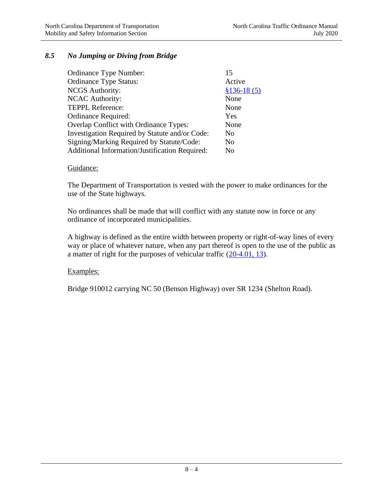### *8.5 No Jumping or Diving from Bridge*

| Ordinance Type Number:                         | 15             |
|------------------------------------------------|----------------|
| <b>Ordinance Type Status:</b>                  | Active         |
| <b>NCGS</b> Authority:                         | $$136-18(5)$   |
| <b>NCAC Authority:</b>                         | None           |
| <b>TEPPL Reference:</b>                        | None           |
| <b>Ordinance Required:</b>                     | Yes            |
| Overlap Conflict with Ordinance Types:         | None           |
| Investigation Required by Statute and/or Code: | N <sub>0</sub> |
| Signing/Marking Required by Statute/Code:      | N <sub>0</sub> |
| Additional Information/Justification Required: | No             |

#### Guidance:

The Department of Transportation is vested with the power to make ordinances for the use of the State highways.

No ordinances shall be made that will conflict with any statute now in force or any ordinance of incorporated municipalities.

A highway is defined as the entire width between property or right-of-way lines of every way or place of whatever nature, when any part thereof is open to the use of the public as a matter of right for the purposes of vehicular traffic  $(20-4.01, 13)$ .

#### Examples:

Bridge 910012 carrying NC 50 (Benson Highway) over SR 1234 (Shelton Road).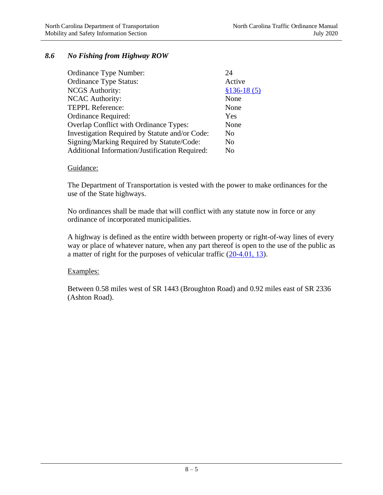### *8.6 No Fishing from Highway ROW*

| Ordinance Type Number:                         | 24             |
|------------------------------------------------|----------------|
| <b>Ordinance Type Status:</b>                  | Active         |
| <b>NCGS</b> Authority:                         | $$136-18(5)$   |
| <b>NCAC Authority:</b>                         | None           |
| <b>TEPPL Reference:</b>                        | None           |
| Ordinance Required:                            | Yes            |
| Overlap Conflict with Ordinance Types:         | None           |
| Investigation Required by Statute and/or Code: | N <sub>0</sub> |
| Signing/Marking Required by Statute/Code:      | N <sub>0</sub> |
| Additional Information/Justification Required: | No             |

#### Guidance:

The Department of Transportation is vested with the power to make ordinances for the use of the State highways.

No ordinances shall be made that will conflict with any statute now in force or any ordinance of incorporated municipalities.

A highway is defined as the entire width between property or right-of-way lines of every way or place of whatever nature, when any part thereof is open to the use of the public as a matter of right for the purposes of vehicular traffic [\(20-4.01, 13\)](http://www.ncleg.net/gascripts/statutes/statutelookup.pl?statute=20-4.01).

#### Examples:

Between 0.58 miles west of SR 1443 (Broughton Road) and 0.92 miles east of SR 2336 (Ashton Road).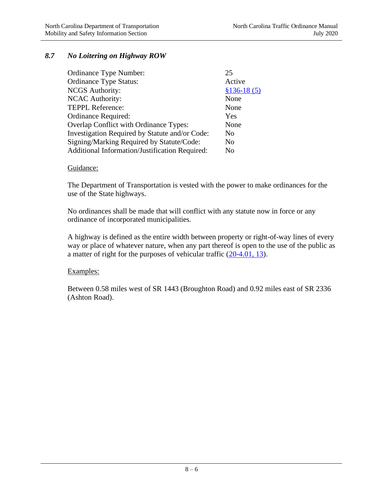### *8.7 No Loitering on Highway ROW*

| Ordinance Type Number:                         | 25             |
|------------------------------------------------|----------------|
| <b>Ordinance Type Status:</b>                  | Active         |
| <b>NCGS</b> Authority:                         | $$136-18(5)$   |
| <b>NCAC Authority:</b>                         | None           |
| <b>TEPPL Reference:</b>                        | None           |
| Ordinance Required:                            | Yes            |
| Overlap Conflict with Ordinance Types:         | None           |
| Investigation Required by Statute and/or Code: | No             |
| Signing/Marking Required by Statute/Code:      | N <sub>0</sub> |
| Additional Information/Justification Required: | No             |

#### Guidance:

The Department of Transportation is vested with the power to make ordinances for the use of the State highways.

No ordinances shall be made that will conflict with any statute now in force or any ordinance of incorporated municipalities.

A highway is defined as the entire width between property or right-of-way lines of every way or place of whatever nature, when any part thereof is open to the use of the public as a matter of right for the purposes of vehicular traffic  $(20-4.01, 13)$ .

#### Examples:

Between 0.58 miles west of SR 1443 (Broughton Road) and 0.92 miles east of SR 2336 (Ashton Road).